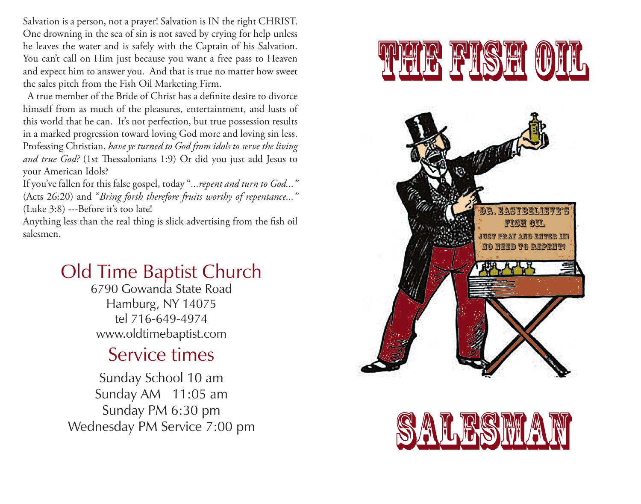Salvation is a person, not a prayer! Salvation is IN the right CHRIST. One drowning in the sea of sin is not saved by crying for help unless he leaves the water and is safely with the Captain of his Salvation. You can't call on Him just because you want a free pass to Heaven and expect him to answer you. And that is true no matter how sweet the sales pitch from the Fish Oil Marketing Firm.

 A true member of the Bride of Christ has a definite desire to divorce himself from as much of the pleasures, entertainment, and lusts of this world that he can. It's not perfection, but true possession results in a marked progression toward loving God more and loving sin less. Professing Christian, *have ye turned to God from idols to serve the living and true God?* (1st Thessalonians 1:9) Or did you just add Jesus to your American Idols?

If you've fallen for this false gospel, today "*...repent and turn to God..."*  (Acts 26:20) and "*Bring forth therefore fruits worthy of repentance..."*  (Luke 3:8) ---Before it's too late!

Anything less than the real thing is slick advertising from the fish oil salesmen.

## Old Time Baptist Church

6790 Gowanda State Road Hamburg, NY 14075 tel 716-649-4974 www.oldtimebaptist.com

## Service times

Sunday School 10 am Sunday AM 11:05 am Sunday PM 6:30 pm Wednesday PM Service 7:00 pm